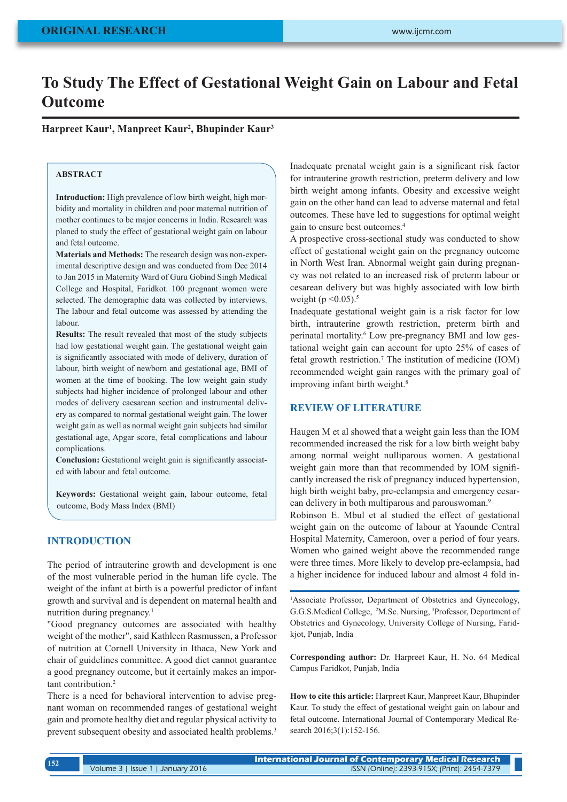# **To Study The Effect of Gestational Weight Gain on Labour and Fetal Outcome**

**Harpreet Kaur1 , Manpreet Kaur2 , Bhupinder Kaur3**

## **ABSTRACT**

**Introduction:** High prevalence of low birth weight, high morbidity and mortality in children and poor maternal nutrition of mother continues to be major concerns in India. Research was planed to study the effect of gestational weight gain on labour and fetal outcome.

**Materials and Methods:** The research design was non-experimental descriptive design and was conducted from Dec 2014 to Jan 2015 in Maternity Ward of Guru Gobind Singh Medical College and Hospital, Faridkot. 100 pregnant women were selected. The demographic data was collected by interviews. The labour and fetal outcome was assessed by attending the labour.

**Results:** The result revealed that most of the study subjects had low gestational weight gain. The gestational weight gain is significantly associated with mode of delivery, duration of labour, birth weight of newborn and gestational age, BMI of women at the time of booking. The low weight gain study subjects had higher incidence of prolonged labour and other modes of delivery caesarean section and instrumental delivery as compared to normal gestational weight gain. The lower weight gain as well as normal weight gain subjects had similar gestational age, Apgar score, fetal complications and labour complications.

**Conclusion:** Gestational weight gain is significantly associated with labour and fetal outcome.

**Keywords:** Gestational weight gain, labour outcome, fetal outcome, Body Mass Index (BMI)

## **INTRODUCTION**

The period of intrauterine growth and development is one of the most vulnerable period in the human life cycle. The weight of the infant at birth is a powerful predictor of infant growth and survival and is dependent on maternal health and nutrition during pregnancy.1

"Good pregnancy outcomes are associated with healthy weight of the mother", said Kathleen Rasmussen, a Professor of nutrition at Cornell University in Ithaca, New York and chair of guidelines committee. A good diet cannot guarantee a good pregnancy outcome, but it certainly makes an important contribution.2

There is a need for behavioral intervention to advise pregnant woman on recommended ranges of gestational weight gain and promote healthy diet and regular physical activity to prevent subsequent obesity and associated health problems.3

Inadequate prenatal weight gain is a significant risk factor for intrauterine growth restriction, preterm delivery and low birth weight among infants. Obesity and excessive weight gain on the other hand can lead to adverse maternal and fetal outcomes. These have led to suggestions for optimal weight gain to ensure best outcomes.4

A prospective cross-sectional study was conducted to show effect of gestational weight gain on the pregnancy outcome in North West Iran. Abnormal weight gain during pregnancy was not related to an increased risk of preterm labour or cesarean delivery but was highly associated with low birth weight ( $p \le 0.05$ ).<sup>5</sup>

Inadequate gestational weight gain is a risk factor for low birth, intrauterine growth restriction, preterm birth and perinatal mortality.<sup>6</sup> Low pre-pregnancy BMI and low gestational weight gain can account for upto 25% of cases of fetal growth restriction.<sup>7</sup> The institution of medicine (IOM) recommended weight gain ranges with the primary goal of improving infant birth weight.<sup>8</sup>

## **REVIEW OF LITERATURE**

Haugen M et al showed that a weight gain less than the IOM recommended increased the risk for a low birth weight baby among normal weight nulliparous women. A gestational weight gain more than that recommended by IOM significantly increased the risk of pregnancy induced hypertension, high birth weight baby, pre-eclampsia and emergency cesarean delivery in both multiparous and parouswoman.<sup>9</sup>

Robinson E. Mbul et al studied the effect of gestational weight gain on the outcome of labour at Yaounde Central Hospital Maternity, Cameroon, over a period of four years. Women who gained weight above the recommended range were three times. More likely to develop pre-eclampsia, had a higher incidence for induced labour and almost 4 fold in-

<sup>1</sup>Associate Professor, Department of Obstetrics and Gynecology, G.G.S.Medical College, 2 M.Sc. Nursing, 3 Professor, Department of Obstetrics and Gynecology, University College of Nursing, Faridkjot, Punjab, India

**Corresponding author:** Dr. Harpreet Kaur, H. No. 64 Medical Campus Faridkot, Punjab, India

**How to cite this article:** Harpreet Kaur, Manpreet Kaur, Bhupinder Kaur. To study the effect of gestational weight gain on labour and fetal outcome. International Journal of Contemporary Medical Research 2016;3(1):152-156.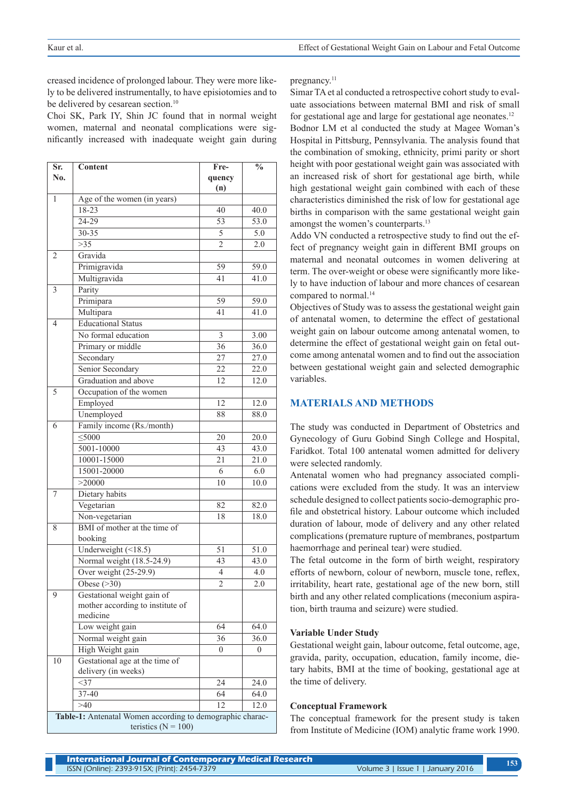creased incidence of prolonged labour. They were more likely to be delivered instrumentally, to have episiotomies and to be delivered by cesarean section.<sup>10</sup>

Choi SK, Park IY, Shin JC found that in normal weight women, maternal and neonatal complications were significantly increased with inadequate weight gain during

| Sr.                                                                                  | <b>Content</b>                   | Fre-            | $\overline{\mathbf{0}}_{\mathbf{0}}$ |
|--------------------------------------------------------------------------------------|----------------------------------|-----------------|--------------------------------------|
| No.                                                                                  |                                  | quency          |                                      |
|                                                                                      |                                  | (n)             |                                      |
| 1                                                                                    | Age of the women (in years)      |                 |                                      |
|                                                                                      | 18-23                            | 40              | 40.0                                 |
|                                                                                      | 24-29                            | 53              | 53.0                                 |
|                                                                                      | 30-35                            | 5               | 5.0                                  |
|                                                                                      | >35                              | $\overline{2}$  | 2.0                                  |
| 2                                                                                    | Gravida                          |                 |                                      |
|                                                                                      | Primigravida                     | 59              | 59.0                                 |
|                                                                                      | Multigravida                     | 41              | 41.0                                 |
| 3                                                                                    | Parity                           |                 |                                      |
|                                                                                      | Primipara                        | 59              | 59.0                                 |
|                                                                                      | Multipara                        | 41              | 41.0                                 |
| 4                                                                                    | <b>Educational Status</b>        |                 |                                      |
|                                                                                      | No formal education              | $\mathfrak{Z}$  | 3.00                                 |
|                                                                                      | Primary or middle                | $\overline{36}$ | 36.0                                 |
|                                                                                      | Secondary                        | 27              | 27.0                                 |
|                                                                                      | Senior Secondary                 | 22              | 22.0                                 |
|                                                                                      | Graduation and above             | 12              | 12.0                                 |
| 5                                                                                    | Occupation of the women          |                 |                                      |
|                                                                                      | Employed                         | 12              | 12.0                                 |
|                                                                                      | Unemployed                       | 88              | 88.0                                 |
| 6                                                                                    | Family income (Rs./month)        |                 |                                      |
|                                                                                      | $<$ 5000                         | 20              | 20.0                                 |
|                                                                                      | 5001-10000                       | 43              | 43.0                                 |
|                                                                                      | 10001-15000                      | 21              | 21.0                                 |
|                                                                                      | 15001-20000                      | 6               | 6.0                                  |
|                                                                                      | >20000                           | 10              | 10.0                                 |
| 7                                                                                    | Dietary habits                   |                 |                                      |
|                                                                                      | Vegetarian                       | 82              | 82.0                                 |
|                                                                                      | Non-vegetarian                   | 18              | 18.0                                 |
| 8                                                                                    | BMI of mother at the time of     |                 |                                      |
|                                                                                      | booking                          |                 |                                      |
|                                                                                      | Underweight $($ <18.5)           | 51              | 51.0                                 |
|                                                                                      | Normal weight (18.5-24.9)        | 43              | 43.0                                 |
|                                                                                      | Over weight (25-29.9)            | 4               | 4.0                                  |
|                                                                                      | Obese $($ >30)                   | $\overline{2}$  | 2.0                                  |
| 9                                                                                    | Gestational weight gain of       |                 |                                      |
|                                                                                      | mother according to institute of |                 |                                      |
|                                                                                      | medicine                         |                 |                                      |
|                                                                                      | Low weight gain                  | 64              | 64.0                                 |
|                                                                                      | Normal weight gain               | 36              | 36.0                                 |
|                                                                                      | High Weight gain                 | $\overline{0}$  | $\overline{0}$                       |
| 10                                                                                   | Gestational age at the time of   |                 |                                      |
|                                                                                      | delivery (in weeks)              |                 |                                      |
|                                                                                      | <37                              | 24              | 24.0                                 |
|                                                                                      | 37-40                            | 64              | 64.0                                 |
|                                                                                      | >40                              | 12              | 12.0                                 |
| Table-1: Antenatal Women according to demographic charac-<br>teristics ( $N = 100$ ) |                                  |                 |                                      |

pregnancy<sup>11</sup>

Simar TA et al conducted a retrospective cohort study to evaluate associations between maternal BMI and risk of small for gestational age and large for gestational age neonates.12 Bodnor LM et al conducted the study at Magee Woman's Hospital in Pittsburg, Pennsylvania. The analysis found that the combination of smoking, ethnicity, primi parity or short height with poor gestational weight gain was associated with an increased risk of short for gestational age birth, while high gestational weight gain combined with each of these characteristics diminished the risk of low for gestational age births in comparison with the same gestational weight gain amongst the women's counterparts.<sup>13</sup>

Addo VN conducted a retrospective study to find out the effect of pregnancy weight gain in different BMI groups on maternal and neonatal outcomes in women delivering at term. The over-weight or obese were significantly more likely to have induction of labour and more chances of cesarean compared to normal.<sup>14</sup>

Objectives of Study was to assess the gestational weight gain of antenatal women, to determine the effect of gestational weight gain on labour outcome among antenatal women, to determine the effect of gestational weight gain on fetal outcome among antenatal women and to find out the association between gestational weight gain and selected demographic variables.

### **MATERIALS AND METHODS**

The study was conducted in Department of Obstetrics and Gynecology of Guru Gobind Singh College and Hospital, Faridkot. Total 100 antenatal women admitted for delivery were selected randomly.

Antenatal women who had pregnancy associated complications were excluded from the study. It was an interview schedule designed to collect patients socio-demographic profile and obstetrical history. Labour outcome which included duration of labour, mode of delivery and any other related complications (premature rupture of membranes, postpartum haemorrhage and perineal tear) were studied.

The fetal outcome in the form of birth weight, respiratory efforts of newborn, colour of newborn, muscle tone, reflex, irritability, heart rate, gestational age of the new born, still birth and any other related complications (meconium aspiration, birth trauma and seizure) were studied.

#### **Variable Under Study**

Gestational weight gain, labour outcome, fetal outcome, age, gravida, parity, occupation, education, family income, dietary habits, BMI at the time of booking, gestational age at the time of delivery.

#### **Conceptual Framework**

The conceptual framework for the present study is taken from Institute of Medicine (IOM) analytic frame work 1990.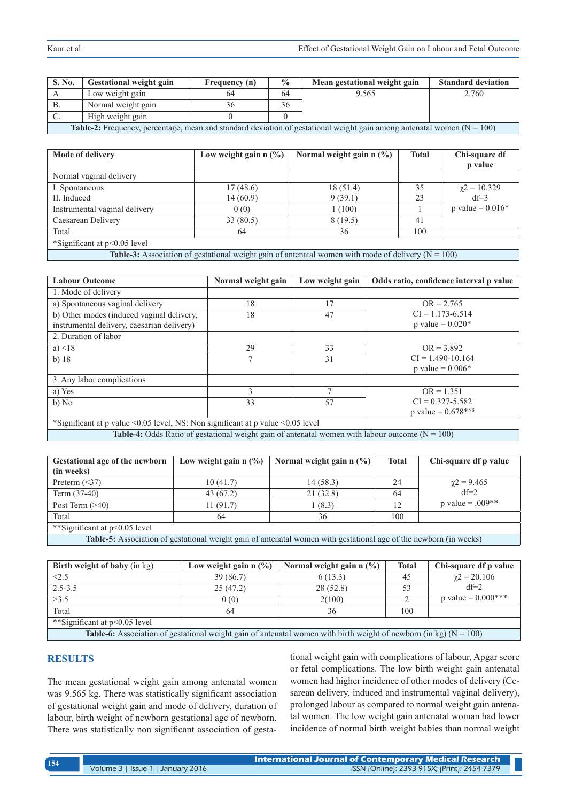| S. No.                                                                                                                            | <b>Gestational weight gain</b> | Frequency (n) | $\frac{0}{0}$ | Mean gestational weight gain | <b>Standard deviation</b> |
|-----------------------------------------------------------------------------------------------------------------------------------|--------------------------------|---------------|---------------|------------------------------|---------------------------|
|                                                                                                                                   | Low weight gain                | 64            | 64            | 9.565                        | 2.760                     |
|                                                                                                                                   | Normal weight gain             | .3h           | 36            |                              |                           |
|                                                                                                                                   | High weight gain               |               |               |                              |                           |
| <b>Table-2:</b> Frequency, percentage, mean and standard deviation of gestational weight gain among antenatal women ( $N = 100$ ) |                                |               |               |                              |                           |

**Mode of delivery Low weight gain n (%) Normal weight gain n (%) Total Chi-square df p value** Normal vaginal delivery I. Spontaneous II. Induced 17 (48.6) 14 (60.9) 18 (51.4) 9 (39.1) 35 23  $\chi$ 2 = 10.329 df=3 Instrumental vaginal delivery  $0(0)$  1 (100) 1 p value = 0.016\* Caesarean Delivery 33 (80.5) 8 (19.5) 41 Total 64  $\frac{36}{100}$  100 \*Significant at p<0.05 level

**Table-3:** Association of gestational weight gain of antenatal women with mode of delivery  $(N = 100)$ 

| <b>Labour Outcome</b>                                                                                      | Normal weight gain | Low weight gain | Odds ratio, confidence interval p value |  |  |
|------------------------------------------------------------------------------------------------------------|--------------------|-----------------|-----------------------------------------|--|--|
| 1. Mode of delivery                                                                                        |                    |                 |                                         |  |  |
| a) Spontaneous vaginal delivery                                                                            | 18                 | 17              | $OR = 2.765$                            |  |  |
| b) Other modes (induced vaginal delivery,                                                                  | 18                 | 47              | $CI = 1.173 - 6.514$                    |  |  |
| instrumental delivery, caesarian delivery)                                                                 |                    |                 | p value = $0.020*$                      |  |  |
| 2. Duration of labor                                                                                       |                    |                 |                                         |  |  |
| a) $\leq 18$                                                                                               | 29                 | 33              | $OR = 3.892$                            |  |  |
| b) $18$                                                                                                    | 7                  | 31              | $CI = 1.490 - 10.164$                   |  |  |
|                                                                                                            |                    |                 | p value = $0.006*$                      |  |  |
| 3. Any labor complications                                                                                 |                    |                 |                                         |  |  |
| a) Yes                                                                                                     | 3                  |                 | $OR = 1.351$                            |  |  |
| b) No                                                                                                      | 33                 | 57              | $CI = 0.327 - 5.582$                    |  |  |
|                                                                                                            |                    |                 | p value = $0.678$ <sup>*NS</sup>        |  |  |
| *Significant at p value $\leq 0.05$ level; NS: Non significant at p value $\leq 0.05$ level                |                    |                 |                                         |  |  |
| <b>Table-4:</b> Odds Ratio of gestational weight gain of antenatal women with labour outcome ( $N = 100$ ) |                    |                 |                                         |  |  |

| Gestational age of the newborn                                                                                   | Low weight gain $n$ (%) | Normal weight gain $n \ (\%)$ | <b>Total</b> | Chi-square df p value |
|------------------------------------------------------------------------------------------------------------------|-------------------------|-------------------------------|--------------|-----------------------|
| (in weeks)                                                                                                       |                         |                               |              |                       |
| Preterm $(\leq 37)$                                                                                              | 10(41.7)                | 14(58.3)                      | 24           | $\gamma$ 2 = 9.465    |
| Term $(37-40)$                                                                                                   | 43(67.2)                | 21(32.8)                      | 64           | $df=2$                |
| Post Term $(>40)$                                                                                                | 11(91.7)                | 1(8.3)                        | 12           | $p$ value = .009**    |
| Total                                                                                                            | 64                      | 36                            | 100          |                       |
| **Significant at p<0.05 level                                                                                    |                         |                               |              |                       |
| Table 5: Association of gestational weight gain of approach women with gestational age of the newborn (in weeks) |                         |                               |              |                       |

**Table-5:** Association of gestational weight gain of antenatal women with gestational age of the newborn (in weeks)

| <b>Birth weight of baby</b> (in kg)                                                                                          | Low weight gain $n \frac{6}{6}$ | Normal weight gain $n \frac{6}{6}$ | <b>Total</b> | Chi-square df p value |
|------------------------------------------------------------------------------------------------------------------------------|---------------------------------|------------------------------------|--------------|-----------------------|
| <2.5                                                                                                                         | 39(86.7)                        | 6(13.3)                            | 45           | $\gamma$ 2 = 20.106   |
| $2.5 - 3.5$                                                                                                                  | 25(47.2)                        | 28(52.8)                           |              | $df=2$                |
| >3.5                                                                                                                         | 0(0)                            | 2(100)                             |              | p value = $0.000$ *** |
| Total                                                                                                                        | 64                              | 36                                 | 100          |                       |
| **Significant at p<0.05 level                                                                                                |                                 |                                    |              |                       |
| <b>Table-6:</b> Association of gestational weight gain of antenatal women with birth weight of newborn (in kg) ( $N = 100$ ) |                                 |                                    |              |                       |

## **RESULTS**

The mean gestational weight gain among antenatal women was 9.565 kg. There was statistically significant association of gestational weight gain and mode of delivery, duration of labour, birth weight of newborn gestational age of newborn. There was statistically non significant association of gestational weight gain with complications of labour, Apgar score or fetal complications. The low birth weight gain antenatal women had higher incidence of other modes of delivery (Cesarean delivery, induced and instrumental vaginal delivery), prolonged labour as compared to normal weight gain antenatal women. The low weight gain antenatal woman had lower incidence of normal birth weight babies than normal weight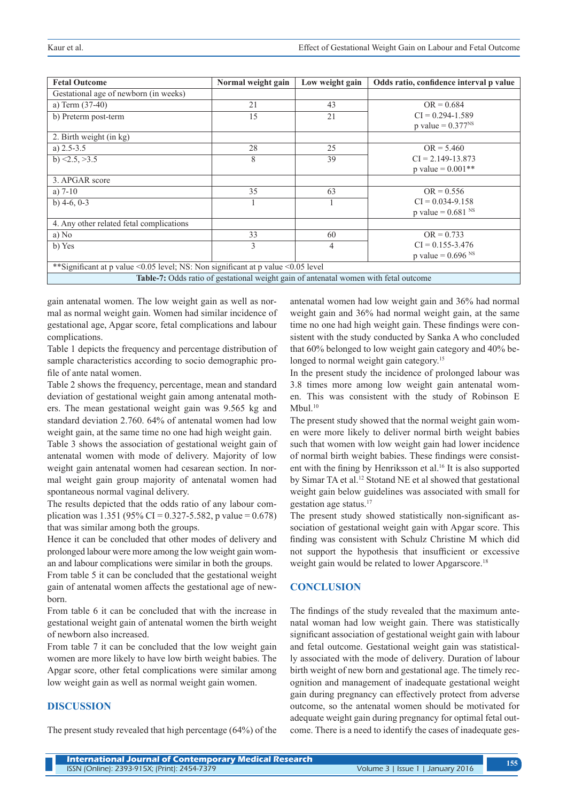| <b>Fetal Outcome</b>                                                                        | Normal weight gain | Low weight gain | Odds ratio, confidence interval p value |  |
|---------------------------------------------------------------------------------------------|--------------------|-----------------|-----------------------------------------|--|
| Gestational age of newborn (in weeks)                                                       |                    |                 |                                         |  |
| a) Term $(37-40)$                                                                           | 21                 | 43              | $OR = 0.684$                            |  |
| b) Preterm post-term                                                                        | 15                 | 21              | $CI = 0.294 - 1.589$                    |  |
|                                                                                             |                    |                 | p value = $0.377^{NS}$                  |  |
| 2. Birth weight (in kg)                                                                     |                    |                 |                                         |  |
| a) $2.5 - 3.5$                                                                              | 28                 | 25              | $OR = 5.460$                            |  |
| b) $\leq 2.5$ , $\geq 3.5$                                                                  | 8                  | 39              | $CI = 2.149 - 13.873$                   |  |
|                                                                                             |                    |                 | p value = $0.001**$                     |  |
| 3. APGAR score                                                                              |                    |                 |                                         |  |
| a) $7-10$                                                                                   | 35                 | 63              | $OR = 0.556$                            |  |
| b) $4-6, 0-3$                                                                               |                    |                 | $CI = 0.034 - 9.158$                    |  |
|                                                                                             |                    |                 | p value = $0.681$ <sup>NS</sup>         |  |
| 4. Any other related fetal complications                                                    |                    |                 |                                         |  |
| a) No                                                                                       | 33                 | 60              | $OR = 0.733$                            |  |
| b) Yes                                                                                      | 3                  | 4               | $CI = 0.155 - 3.476$                    |  |
|                                                                                             |                    |                 | p value = $0.696$ <sup>NS</sup>         |  |
| **Significant at p value < 0.05 level; NS: Non significant at p value < 0.05 level          |                    |                 |                                         |  |
| <b>Table-7:</b> Odds ratio of gestational weight gain of antenatal women with fetal outcome |                    |                 |                                         |  |

gain antenatal women. The low weight gain as well as normal as normal weight gain. Women had similar incidence of gestational age, Apgar score, fetal complications and labour complications.

Table 1 depicts the frequency and percentage distribution of sample characteristics according to socio demographic profile of ante natal women.

Table 2 shows the frequency, percentage, mean and standard deviation of gestational weight gain among antenatal mothers. The mean gestational weight gain was 9.565 kg and standard deviation 2.760. 64% of antenatal women had low weight gain, at the same time no one had high weight gain.

Table 3 shows the association of gestational weight gain of antenatal women with mode of delivery. Majority of low weight gain antenatal women had cesarean section. In normal weight gain group majority of antenatal women had spontaneous normal vaginal delivery.

The results depicted that the odds ratio of any labour complication was 1.351 (95% CI = 0.327-5.582, p value = 0.678) that was similar among both the groups.

Hence it can be concluded that other modes of delivery and prolonged labour were more among the low weight gain woman and labour complications were similar in both the groups.

From table 5 it can be concluded that the gestational weight gain of antenatal women affects the gestational age of newborn.

From table 6 it can be concluded that with the increase in gestational weight gain of antenatal women the birth weight of newborn also increased.

From table 7 it can be concluded that the low weight gain women are more likely to have low birth weight babies. The Apgar score, other fetal complications were similar among low weight gain as well as normal weight gain women.

## **DISCUSSION**

The present study revealed that high percentage (64%) of the

antenatal women had low weight gain and 36% had normal weight gain and 36% had normal weight gain, at the same time no one had high weight gain. These findings were consistent with the study conducted by Sanka A who concluded that 60% belonged to low weight gain category and 40% belonged to normal weight gain category.<sup>15</sup>

In the present study the incidence of prolonged labour was 3.8 times more among low weight gain antenatal women. This was consistent with the study of Robinson E  $M$ bul. $10$ 

The present study showed that the normal weight gain women were more likely to deliver normal birth weight babies such that women with low weight gain had lower incidence of normal birth weight babies. These findings were consistent with the fining by Henriksson et al.16 It is also supported by Simar TA et al.<sup>12</sup> Stotand NE et al showed that gestational weight gain below guidelines was associated with small for gestation age status.17

The present study showed statistically non-significant association of gestational weight gain with Apgar score. This finding was consistent with Schulz Christine M which did not support the hypothesis that insufficient or excessive weight gain would be related to lower Apgarscore.<sup>18</sup>

# **CONCLUSION**

The findings of the study revealed that the maximum antenatal woman had low weight gain. There was statistically significant association of gestational weight gain with labour and fetal outcome. Gestational weight gain was statistically associated with the mode of delivery. Duration of labour birth weight of new born and gestational age. The timely recognition and management of inadequate gestational weight gain during pregnancy can effectively protect from adverse outcome, so the antenatal women should be motivated for adequate weight gain during pregnancy for optimal fetal outcome. There is a need to identify the cases of inadequate ges-